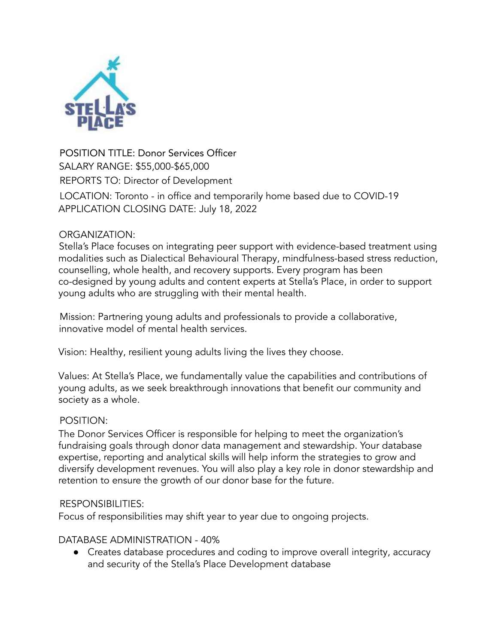

POSITION TITLE: Donor Services Officer SALARY RANGE: \$55,000-\$65,000 REPORTS TO: Director of Development LOCATION: Toronto - in office and temporarily home based due to COVID-19 APPLICATION CLOSING DATE: July 18, 2022

#### ORGANIZATION:

Stella's Place focuses on integrating peer support with evidence-based treatment using modalities such as Dialectical Behavioural Therapy, mindfulness-based stress reduction, counselling, whole health, and recovery supports. Every program has been co-designed by young adults and content experts at Stella's Place, in order to support young adults who are struggling with their mental health.

Mission: Partnering young adults and professionals to provide a collaborative, innovative model of mental health services.

Vision: Healthy, resilient young adults living the lives they choose.

Values: At Stella's Place, we fundamentally value the capabilities and contributions of young adults, as we seek breakthrough innovations that benefit our community and society as a whole.

# POSITION:

The Donor Services Officer is responsible for helping to meet the organization's fundraising goals through donor data management and stewardship. Your database expertise, reporting and analytical skills will help inform the strategies to grow and diversify development revenues. You will also play a key role in donor stewardship and retention to ensure the growth of our donor base for the future.

#### RESPONSIBILITIES:

Focus of responsibilities may shift year to year due to ongoing projects.

# DATABASE ADMINISTRATION - 40%

● Creates database procedures and coding to improve overall integrity, accuracy and security of the Stella's Place Development database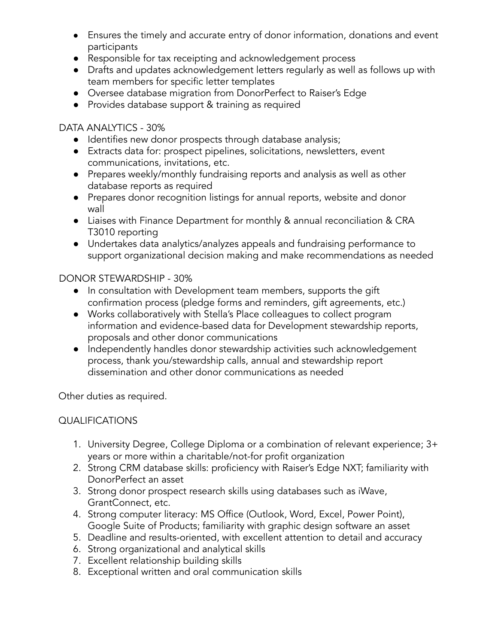- Ensures the timely and accurate entry of donor information, donations and event participants
- Responsible for tax receipting and acknowledgement process
- Drafts and updates acknowledgement letters regularly as well as follows up with team members for specific letter templates
- Oversee database migration from DonorPerfect to Raiser's Edge
- Provides database support & training as required

#### DATA ANALYTICS - 30%

- Identifies new donor prospects through database analysis;
- Extracts data for: prospect pipelines, solicitations, newsletters, event communications, invitations, etc.
- Prepares weekly/monthly fundraising reports and analysis as well as other database reports as required
- Prepares donor recognition listings for annual reports, website and donor wall
- Liaises with Finance Department for monthly & annual reconciliation & CRA T3010 reporting
- Undertakes data analytics/analyzes appeals and fundraising performance to support organizational decision making and make recommendations as needed

#### DONOR STEWARDSHIP - 30%

- In consultation with Development team members, supports the gift confirmation process (pledge forms and reminders, gift agreements, etc.)
- Works collaboratively with Stella's Place colleagues to collect program information and evidence-based data for Development stewardship reports, proposals and other donor communications
- Independently handles donor stewardship activities such acknowledgement process, thank you/stewardship calls, annual and stewardship report dissemination and other donor communications as needed

Other duties as required.

# QUALIFICATIONS

- 1. University Degree, College Diploma or a combination of relevant experience; 3+ years or more within a charitable/not-for profit organization
- 2. Strong CRM database skills: proficiency with Raiser's Edge NXT; familiarity with DonorPerfect an asset
- 3. Strong donor prospect research skills using databases such as iWave, GrantConnect, etc.
- 4. Strong computer literacy: MS Office (Outlook, Word, Excel, Power Point), Google Suite of Products; familiarity with graphic design software an asset
- 5. Deadline and results-oriented, with excellent attention to detail and accuracy
- 6. Strong organizational and analytical skills
- 7. Excellent relationship building skills
- 8. Exceptional written and oral communication skills